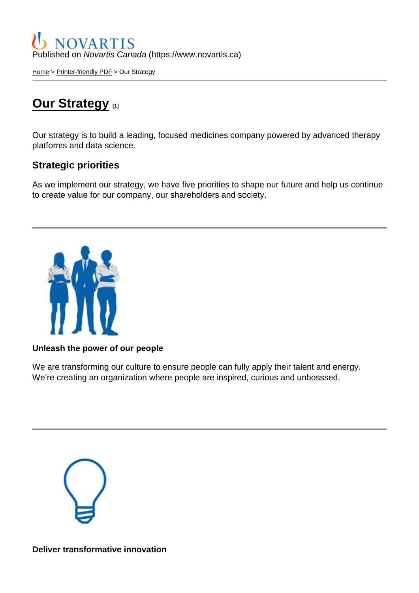Published on Novartis Canada [\(https://www.novartis.ca\)](https://www.novartis.ca)

[Home](https://www.novartis.ca/en) > [Printer-friendly PDF](https://www.novartis.ca/en/printpdf) > Our Strategy

# **[Our Strategy](https://www.novartis.ca/en/about-us/who-we-are/our-strategy)**

Our strategy is to build a leading, focused medicines company powered by advanced therapy platforms and data science.

Strategic priorities

As we implement our strategy, we have five priorities to shape our future and help us continue to create value for our company, our shareholders and society.

Unleash the power of our people

We are transforming our culture to ensure people can fully apply their talent and energy. We're creating an organization where people are inspired, curious and unbosssed.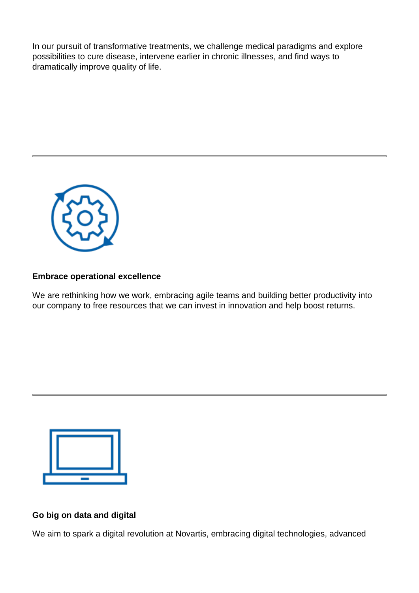In our pursuit of transformative treatments, we challenge medical paradigms and explore possibilities to cure disease, intervene earlier in chronic illnesses, and find ways to dramatically improve quality of life.



## **Embrace operational excellence**

We are rethinking how we work, embracing agile teams and building better productivity into our company to free resources that we can invest in innovation and help boost returns.



#### **Go big on data and digital**

We aim to spark a digital revolution at Novartis, embracing digital technologies, advanced